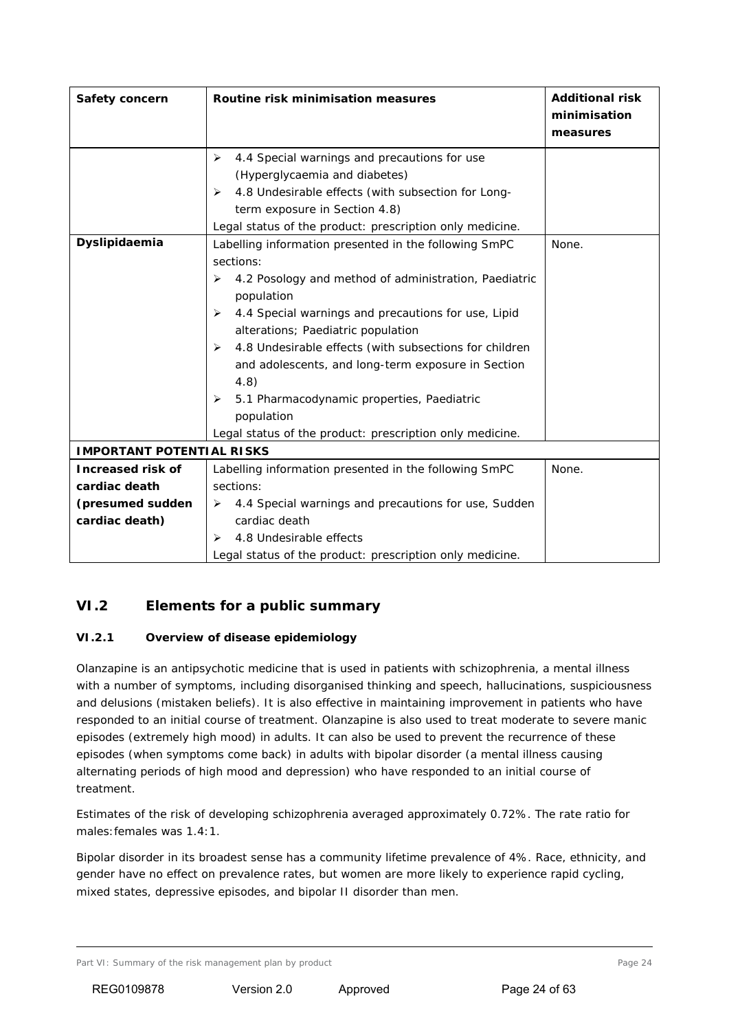# **VI.2 Elements for a public summary**

#### *VI.2.1 Overview of disease epidemiology*

Olanzapine is an antipsychotic medicine that is used in patients with schizophrenia, a mental illness with a number of symptoms, including disorganised thinking and speech, hallucinations, suspiciousness and delusions (mistaken beliefs). It is also effective in maintaining improvement in patients who have responded to an initial course of treatment. Olanzapine is also used to treat moderate to severe manic episodes (extremely high mood) in adults. It can also be used to prevent the recurrence of these episodes (when symptoms come back) in adults with bipolar disorder (a mental illness causing alternating periods of high mood and depression) who have responded to an initial course of treatment.

Estimates of the risk of developing schizophrenia averaged approximately 0.72%. The rate ratio for males:females was 1.4:1.

Bipolar disorder in its broadest sense has a community lifetime prevalence of 4%. Race, ethnicity, and gender have no effect on prevalence rates, but women are more likely to experience rapid cycling, mixed states, depressive episodes, and bipolar II disorder than men.

Part VI: Summary of the risk management plan by product example 24 and the risk management plan by product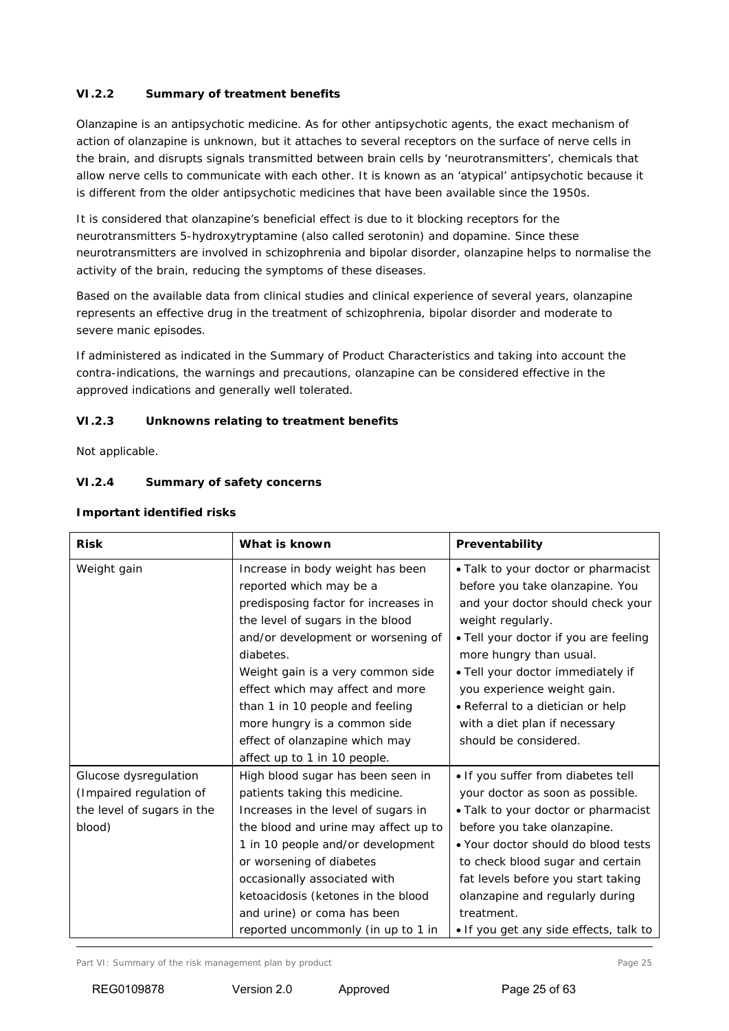# *VI.2.2 Summary of treatment benefits*

Olanzapine is an antipsychotic medicine. As for other antipsychotic agents, the exact mechanism of action of olanzapine is unknown, but it attaches to several receptors on the surface of nerve cells in the brain, and disrupts signals transmitted between brain cells by 'neurotransmitters', chemicals that allow nerve cells to communicate with each other. It is known as an 'atypical' antipsychotic because it is different from the older antipsychotic medicines that have been available since the 1950s.

It is considered that olanzapine's beneficial effect is due to it blocking receptors for the neurotransmitters 5-hydroxytryptamine (also called serotonin) and dopamine. Since these neurotransmitters are involved in schizophrenia and bipolar disorder, olanzapine helps to normalise the activity of the brain, reducing the symptoms of these diseases.

Based on the available data from clinical studies and clinical experience of several years, olanzapine represents an effective drug in the treatment of schizophrenia, bipolar disorder and moderate to severe manic episodes.

If administered as indicated in the Summary of Product Characteristics and taking into account the contra-indications, the warnings and precautions, olanzapine can be considered effective in the approved indications and generally well tolerated.

### *VI.2.3 Unknowns relating to treatment benefits*

Not applicable.

### *VI.2.4 Summary of safety concerns*

| <b>Risk</b>                | What is known                        | Preventability                         |
|----------------------------|--------------------------------------|----------------------------------------|
| Weight gain                | Increase in body weight has been     | • Talk to your doctor or pharmacist    |
|                            | reported which may be a              | before you take olanzapine. You        |
|                            | predisposing factor for increases in | and your doctor should check your      |
|                            | the level of sugars in the blood     | weight regularly.                      |
|                            | and/or development or worsening of   | . Tell your doctor if you are feeling  |
|                            | diabetes.                            | more hungry than usual.                |
|                            | Weight gain is a very common side    | . Tell your doctor immediately if      |
|                            | effect which may affect and more     | you experience weight gain.            |
|                            | than 1 in 10 people and feeling      | • Referral to a dietician or help      |
|                            | more hungry is a common side         | with a diet plan if necessary          |
|                            | effect of olanzapine which may       | should be considered.                  |
|                            | affect up to 1 in 10 people.         |                                        |
| Glucose dysregulation      | High blood sugar has been seen in    | . If you suffer from diabetes tell     |
| (Impaired regulation of    | patients taking this medicine.       | your doctor as soon as possible.       |
| the level of sugars in the | Increases in the level of sugars in  | • Talk to your doctor or pharmacist    |
| blood)                     | the blood and urine may affect up to | before you take olanzapine.            |
|                            | 1 in 10 people and/or development    | • Your doctor should do blood tests    |
|                            | or worsening of diabetes             | to check blood sugar and certain       |
|                            | occasionally associated with         | fat levels before you start taking     |
|                            | ketoacidosis (ketones in the blood   | olanzapine and regularly during        |
|                            | and urine) or coma has been          | treatment.                             |
|                            | reported uncommonly (in up to 1 in   | . If you get any side effects, talk to |

#### **Important identified risks**

Part VI: Summary of the risk management plan by product Page 25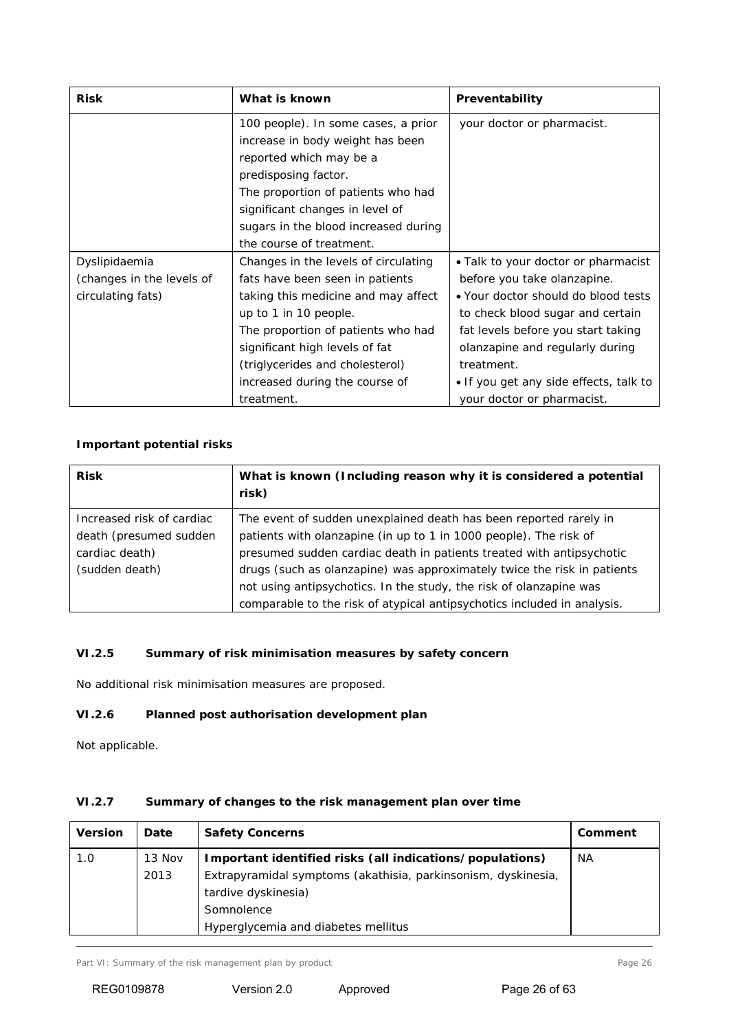| <b>Risk</b>               | What is known                        | Preventability                         |  |
|---------------------------|--------------------------------------|----------------------------------------|--|
|                           | 100 people). In some cases, a prior  | your doctor or pharmacist.             |  |
|                           | increase in body weight has been     |                                        |  |
|                           | reported which may be a              |                                        |  |
|                           | predisposing factor.                 |                                        |  |
|                           | The proportion of patients who had   |                                        |  |
|                           | significant changes in level of      |                                        |  |
|                           | sugars in the blood increased during |                                        |  |
|                           | the course of treatment.             |                                        |  |
| Dyslipidaemia             | Changes in the levels of circulating | • Talk to your doctor or pharmacist    |  |
| (changes in the levels of | fats have been seen in patients      | before you take olanzapine.            |  |
| circulating fats)         | taking this medicine and may affect  | • Your doctor should do blood tests    |  |
|                           | up to 1 in 10 people.                | to check blood sugar and certain       |  |
|                           | The proportion of patients who had   | fat levels before you start taking     |  |
|                           | significant high levels of fat       | olanzapine and regularly during        |  |
|                           | (triglycerides and cholesterol)      | treatment.                             |  |
|                           | increased during the course of       | • If you get any side effects, talk to |  |
|                           | treatment.                           | your doctor or pharmacist.             |  |

## **Important potential risks**

| <b>Risk</b>               | What is known (Including reason why it is considered a potential<br>risk) |  |
|---------------------------|---------------------------------------------------------------------------|--|
| Increased risk of cardiac | The event of sudden unexplained death has been reported rarely in         |  |
| death (presumed sudden    | patients with olanzapine (in up to 1 in 1000 people). The risk of         |  |
| cardiac death)            | presumed sudden cardiac death in patients treated with antipsychotic      |  |
| (sudden death)            | drugs (such as olanzapine) was approximately twice the risk in patients   |  |
|                           | not using antipsychotics. In the study, the risk of olanzapine was        |  |
|                           | comparable to the risk of atypical antipsychotics included in analysis.   |  |

# *VI.2.5 Summary of risk minimisation measures by safety concern*

No additional risk minimisation measures are proposed.

# *VI.2.6 Planned post authorisation development plan*

Not applicable.

# *VI.2.7 Summary of changes to the risk management plan over time*

| <b>Version</b> | Date   | <b>Safety Concerns</b>                                        | Comment |
|----------------|--------|---------------------------------------------------------------|---------|
| 1.0            | 13 Nov | Important identified risks (all indications/populations)      | NА      |
|                | 2013   | Extrapyramidal symptoms (akathisia, parkinsonism, dyskinesia, |         |
|                |        | tardive dyskinesia)                                           |         |
|                |        | Somnolence                                                    |         |
|                |        | Hyperglycemia and diabetes mellitus                           |         |

Part VI: Summary of the risk management plan by product Page 26 Page 26